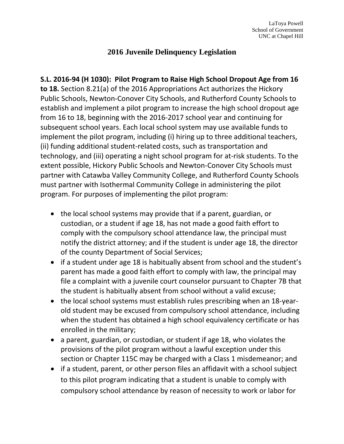## **2016 Juvenile Delinquency Legislation**

**S.L. 2016-94 (H 1030): Pilot Program to Raise High School Dropout Age from 16 to 18.** Section 8.21(a) of the 2016 Appropriations Act authorizes the Hickory Public Schools, Newton-Conover City Schools, and Rutherford County Schools to establish and implement a pilot program to increase the high school dropout age from 16 to 18, beginning with the 2016-2017 school year and continuing for subsequent school years. Each local school system may use available funds to implement the pilot program, including (i) hiring up to three additional teachers, (ii) funding additional student-related costs, such as transportation and technology, and (iii) operating a night school program for at-risk students. To the extent possible, Hickory Public Schools and Newton-Conover City Schools must partner with Catawba Valley Community College, and Rutherford County Schools must partner with Isothermal Community College in administering the pilot program. For purposes of implementing the pilot program:

- the local school systems may provide that if a parent, guardian, or custodian, or a student if age 18, has not made a good faith effort to comply with the compulsory school attendance law, the principal must notify the district attorney; and if the student is under age 18, the director of the county Department of Social Services;
- if a student under age 18 is habitually absent from school and the student's parent has made a good faith effort to comply with law, the principal may file a complaint with a juvenile court counselor pursuant to Chapter 7B that the student is habitually absent from school without a valid excuse;
- the local school systems must establish rules prescribing when an 18-yearold student may be excused from compulsory school attendance, including when the student has obtained a high school equivalency certificate or has enrolled in the military;
- a parent, guardian, or custodian, or student if age 18, who violates the provisions of the pilot program without a lawful exception under this section or Chapter 115C may be charged with a Class 1 misdemeanor; and
- if a student, parent, or other person files an affidavit with a school subject to this pilot program indicating that a student is unable to comply with compulsory school attendance by reason of necessity to work or labor for